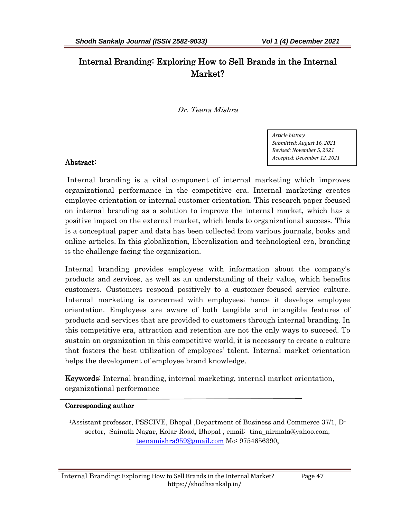# Internal Branding: Exploring How to Sell Brands in the Internal Market?

Dr. Teena Mishra

*Article history Submitted: August 16, 2021 Revised: November 5, 2021 Accepted: December 12, 2021* 

### Abstract: Abstract:

Internal branding is a vital component of internal marketing which improves organizational performance in the competitive era. Internal marketing creates employee orientation or internal customer orientation. This research paper focused on internal branding as a solution to improve the internal market, which has a positive impact on the external market, which leads to organizational success. This is a conceptual paper and data has been collected from various journals, books and online articles. In this globalization, liberalization and technological era, branding is the challenge facing the organization.

Internal branding provides employees with information about the company's products and services, as well as an understanding of their value, which benefits customers. Customers respond positively to a customer-focused service culture. Internal marketing is concerned with employees; hence it develops employee orientation. Employees are aware of both tangible and intangible features of products and services that are provided to customers through internal branding. In this competitive era, attraction and retention are not the only ways to succeed. To sustain an organization in this competitive world, it is necessary to create a culture that fosters the best utilization of employees' talent. Internal market orientation helps the development of employee brand knowledge.

**Keywords:** Internal branding, internal marketing, internal market orientation, organizational performance

### Corresponding author

1Assistant professor, PSSCIVE, Bhopal ,Department of Business and Commerce 37/1, Dsector, Sainath Nagar, Kolar Road, Bhopal, email: tina\_nirmala@yahoo.com, teenamishra959@gmail.com Mo: 9754656390,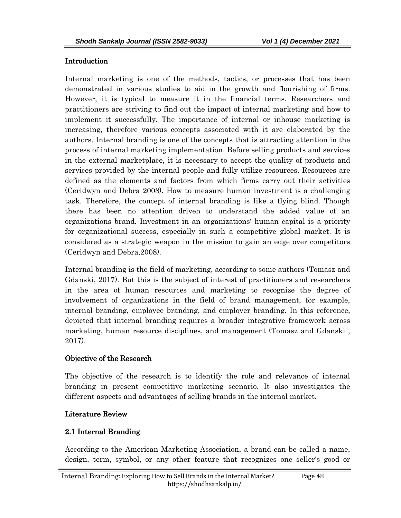#### Introduction

Internal marketing is one of the methods, tactics, or processes that has been demonstrated in various studies to aid in the growth and flourishing of firms. However, it is typical to measure it in the financial terms. Researchers and practitioners are striving to find out the impact of internal marketing and how to implement it successfully. The importance of internal or inhouse marketing is increasing, therefore various concepts associated with it are elaborated by the authors. Internal branding is one of the concepts that is attracting attention in the process of internal marketing implementation. Before selling products and services in the external marketplace, it is necessary to accept the quality of products and services provided by the internal people and fully utilize resources. Resources are defined as the elements and factors from which firms carry out their activities (Ceridwyn and Debra 2008). How to measure human investment is a challenging task. Therefore, the concept of internal branding is like a flying blind. Though there has been no attention driven to understand the added value of an organizations brand. Investment in an organizations' human capital is a priority for organizational success, especially in such a competitive global market. It is considered as a strategic weapon in the mission to gain an edge over competitors (Ceridwyn and Debra,2008).

Internal branding is the field of marketing, according to some authors (Tomasz and Gdanski, 2017). But this is the subject of interest of practitioners and researchers in the area of human resources and marketing to recognize the degree of involvement of organizations in the field of brand management, for example, internal branding, employee branding, and employer branding. In this reference, depicted that internal branding requires a broader integrative framework across marketing, human resource disciplines, and management (Tomasz and Gdanski , 2017).

### Objective of the Research

The objective of the research is to identify the role and relevance of internal branding in present competitive marketing scenario. It also investigates the different aspects and advantages of selling brands in the internal market.

### Literature Review

### 2.1 Internal Branding

According to the American Marketing Association, a brand can be called a name, design, term, symbol, or any other feature that recognizes one seller's good or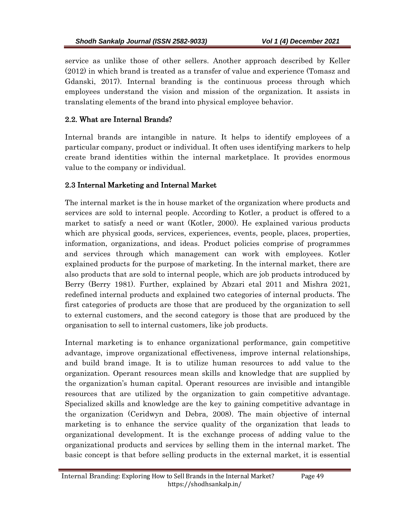service as unlike those of other sellers. Another approach described by Keller (2012) in which brand is treated as a transfer of value and experience (Tomasz and Gdanski, 2017). Internal branding is the continuous process through which employees understand the vision and mission of the organization. It assists in translating elements of the brand into physical employee behavior.

### 2.2. What are Internal Brands?

Internal brands are intangible in nature. It helps to identify employees of a particular company, product or individual. It often uses identifying markers to help create brand identities within the internal marketplace. It provides enormous value to the company or individual.

### 2.3 Internal Marketing and Internal Market

The internal market is the in house market of the organization where products and services are sold to internal people. According to Kotler, a product is offered to a market to satisfy a need or want (Kotler, 2000). He explained various products which are physical goods, services, experiences, events, people, places, properties, information, organizations, and ideas. Product policies comprise of programmes and services through which management can work with employees. Kotler explained products for the purpose of marketing. In the internal market, there are also products that are sold to internal people, which are job products introduced by Berry (Berry 1981). Further, explained by Abzari etal 2011 and Mishra 2021, redefined internal products and explained two categories of internal products. The first categories of products are those that are produced by the organization to sell to external customers, and the second category is those that are produced by the organisation to sell to internal customers, like job products.

Internal marketing is to enhance organizational performance, gain competitive advantage, improve organizational effectiveness, improve internal relationships, and build brand image. It is to utilize human resources to add value to the organization. Operant resources mean skills and knowledge that are supplied by the organization's human capital. Operant resources are invisible and intangible resources that are utilized by the organization to gain competitive advantage. Specialized skills and knowledge are the key to gaining competitive advantage in the organization (Ceridwyn and Debra, 2008). The main objective of internal marketing is to enhance the service quality of the organization that leads to organizational development. It is the exchange process of adding value to the organizational products and services by selling them in the internal market. The basic concept is that before selling products in the external market, it is essential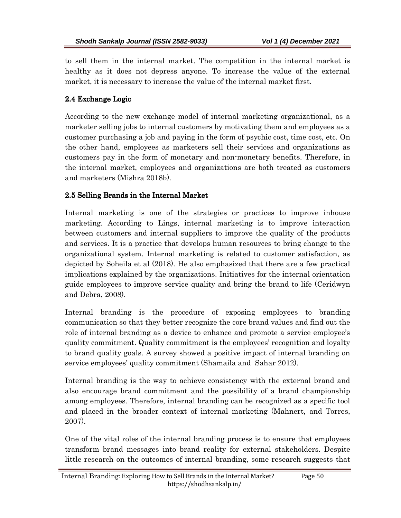to sell them in the internal market. The competition in the internal market is healthy as it does not depress anyone. To increase the value of the external market, it is necessary to increase the value of the internal market first.

## 2.4 Exchange Logic

According to the new exchange model of internal marketing organizational, as a marketer selling jobs to internal customers by motivating them and employees as a customer purchasing a job and paying in the form of psychic cost, time cost, etc. On the other hand, employees as marketers sell their services and organizations as customers pay in the form of monetary and non-monetary benefits. Therefore, in the internal market, employees and organizations are both treated as customers and marketers (Mishra 2018b).

# 2.5 Selling Brands in the Internal Market

Internal marketing is one of the strategies or practices to improve inhouse marketing. According to Lings, internal marketing is to improve interaction between customers and internal suppliers to improve the quality of the products and services. It is a practice that develops human resources to bring change to the organizational system. Internal marketing is related to customer satisfaction, as depicted by Soheila et al (2018). He also emphasized that there are a few practical implications explained by the organizations. Initiatives for the internal orientation guide employees to improve service quality and bring the brand to life (Ceridwyn and Debra, 2008).

Internal branding is the procedure of exposing employees to branding communication so that they better recognize the core brand values and find out the role of internal branding as a device to enhance and promote a service employee's quality commitment. Quality commitment is the employees' recognition and loyalty to brand quality goals. A survey showed a positive impact of internal branding on service employees' quality commitment (Shamaila and Sahar 2012).

Internal branding is the way to achieve consistency with the external brand and also encourage brand commitment and the possibility of a brand championship among employees. Therefore, internal branding can be recognized as a specific tool and placed in the broader context of internal marketing (Mahnert, and Torres, 2007).

One of the vital roles of the internal branding process is to ensure that employees transform brand messages into brand reality for external stakeholders. Despite little research on the outcomes of internal branding, some research suggests that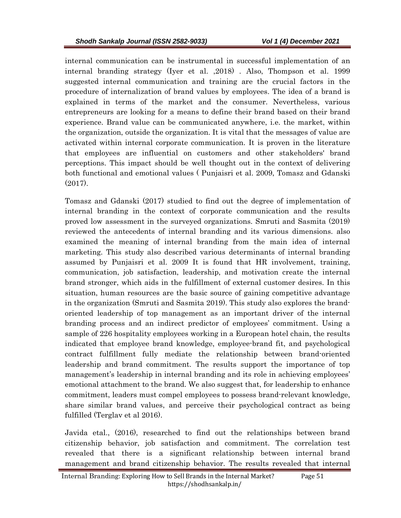internal communication can be instrumental in successful implementation of an internal branding strategy (Iyer et al. ,2018) . Also, Thompson et al. 1999 suggested internal communication and training are the crucial factors in the procedure of internalization of brand values by employees. The idea of a brand is explained in terms of the market and the consumer. Nevertheless, various entrepreneurs are looking for a means to define their brand based on their brand experience. Brand value can be communicated anywhere, i.e. the market, within the organization, outside the organization. It is vital that the messages of value are activated within internal corporate communication. It is proven in the literature that employees are influential on customers and other stakeholders' brand perceptions. This impact should be well thought out in the context of delivering both functional and emotional values ( Punjaisri et al. 2009, Tomasz and Gdanski (2017).

Tomasz and Gdanski (2017) studied to find out the degree of implementation of internal branding in the context of corporate communication and the results proved low assessment in the surveyed organizations. Smruti and Sasmita (2019) reviewed the antecedents of internal branding and its various dimensions. also examined the meaning of internal branding from the main idea of internal marketing. This study also described various determinants of internal branding assumed by Punjaisri et al. 2009 It is found that HR involvement, training, communication, job satisfaction, leadership, and motivation create the internal brand stronger, which aids in the fulfillment of external customer desires. In this situation, human resources are the basic source of gaining competitive advantage in the organization (Smruti and Sasmita 2019). This study also explores the brandoriented leadership of top management as an important driver of the internal branding process and an indirect predictor of employees' commitment. Using a sample of 226 hospitality employees working in a European hotel chain, the results indicated that employee brand knowledge, employee-brand fit, and psychological contract fulfillment fully mediate the relationship between brand-oriented leadership and brand commitment. The results support the importance of top management's leadership in internal branding and its role in achieving employees' emotional attachment to the brand. We also suggest that, for leadership to enhance commitment, leaders must compel employees to possess brand-relevant knowledge, share similar brand values, and perceive their psychological contract as being fulfilled (Terglav et al 2016).

Javida etal., (2016), researched to find out the relationships between brand citizenship behavior, job satisfaction and commitment. The correlation test revealed that there is a significant relationship between internal brand management and brand citizenship behavior. The results revealed that internal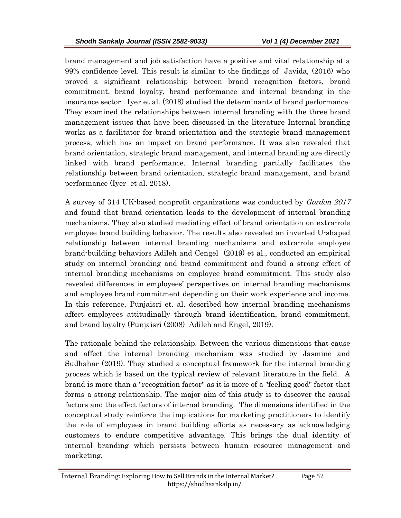brand management and job satisfaction have a positive and vital relationship at a 99% confidence level. This result is similar to the findings of Javida, (2016) who proved a significant relationship between brand recognition factors, brand commitment, brand loyalty, brand performance and internal branding in the insurance sector . Iyer et al. (2018) studied the determinants of brand performance. They examined the relationships between internal branding with the three brand management issues that have been discussed in the literature Internal branding works as a facilitator for brand orientation and the strategic brand management process, which has an impact on brand performance. It was also revealed that brand orientation, strategic brand management, and internal branding are directly linked with brand performance. Internal branding partially facilitates the relationship between brand orientation, strategic brand management, and brand performance (Iyer et al. 2018).

A survey of 314 UK-based nonprofit organizations was conducted by Gordon 2017 and found that brand orientation leads to the development of internal branding mechanisms. They also studied mediating effect of brand orientation on extra-role employee brand building behavior. The results also revealed an inverted U-shaped relationship between internal branding mechanisms and extra-role employee brand-building behaviors Adileh and Cengel (2019) et al., conducted an empirical study on internal branding and brand commitment and found a strong effect of internal branding mechanisms on employee brand commitment. This study also revealed differences in employees' perspectives on internal branding mechanisms and employee brand commitment depending on their work experience and income. In this reference, Punjaisri et. al. described how internal branding mechanisms affect employees attitudinally through brand identification, brand commitment, and brand loyalty (Punjaisri (2008) Adileh and Engel, 2019).

The rationale behind the relationship. Between the various dimensions that cause and affect the internal branding mechanism was studied by Jasmine and Sudhahar (2019). They studied a conceptual framework for the internal branding process which is based on the typical review of relevant literature in the field. A brand is more than a "recognition factor" as it is more of a "feeling good" factor that forms a strong relationship. The major aim of this study is to discover the causal factors and the effect factors of internal branding. The dimensions identified in the conceptual study reinforce the implications for marketing practitioners to identify the role of employees in brand building efforts as necessary as acknowledging customers to endure competitive advantage. This brings the dual identity of internal branding which persists between human resource management and marketing.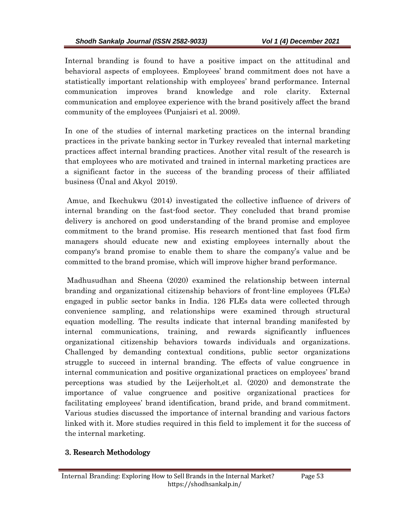Internal branding is found to have a positive impact on the attitudinal and behavioral aspects of employees. Employees' brand commitment does not have a statistically important relationship with employees' brand performance. Internal communication improves brand knowledge and role clarity. External communication and employee experience with the brand positively affect the brand community of the employees (Punjaisri et al. 2009).

In one of the studies of internal marketing practices on the internal branding practices in the private banking sector in Turkey revealed that internal marketing practices affect internal branding practices. Another vital result of the research is that employees who are motivated and trained in internal marketing practices are a significant factor in the success of the branding process of their affiliated business (Ünal and Akyol 2019).

 Amue, and Ikechukwu (2014) investigated the collective influence of drivers of internal branding on the fast-food sector. They concluded that brand promise delivery is anchored on good understanding of the brand promise and employee commitment to the brand promise. His research mentioned that fast food firm managers should educate new and existing employees internally about the company's brand promise to enable them to share the company's value and be committed to the brand promise, which will improve higher brand performance.

 Madhusudhan and Sheena (2020) examined the relationship between internal branding and organizational citizenship behaviors of front-line employees (FLEs) engaged in public sector banks in India. 126 FLEs data were collected through convenience sampling, and relationships were examined through structural equation modelling. The results indicate that internal branding manifested by internal communications, training, and rewards significantly influences organizational citizenship behaviors towards individuals and organizations. Challenged by demanding contextual conditions, public sector organizations struggle to succeed in internal branding. The effects of value congruence in internal communication and positive organizational practices on employees' brand perceptions was studied by the Leijerholt,et al. (2020) and demonstrate the importance of value congruence and positive organizational practices for facilitating employees' brand identification, brand pride, and brand commitment. Various studies discussed the importance of internal branding and various factors linked with it. More studies required in this field to implement it for the success of the internal marketing.

### 3. Research Methodology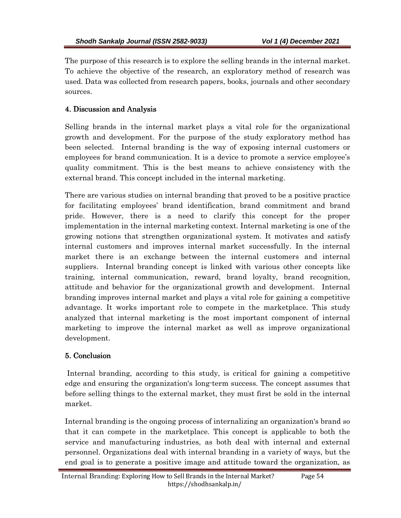The purpose of this research is to explore the selling brands in the internal market. To achieve the objective of the research, an exploratory method of research was used. Data was collected from research papers, books, journals and other secondary sources.

### 4. Discussion and Analysis

Selling brands in the internal market plays a vital role for the organizational growth and development. For the purpose of the study exploratory method has been selected. Internal branding is the way of exposing internal customers or employees for brand communication. It is a device to promote a service employee's quality commitment. This is the best means to achieve consistency with the external brand. This concept included in the internal marketing.

There are various studies on internal branding that proved to be a positive practice for facilitating employees' brand identification, brand commitment and brand pride. However, there is a need to clarify this concept for the proper implementation in the internal marketing context. Internal marketing is one of the growing notions that strengthen organizational system. It motivates and satisfy internal customers and improves internal market successfully. In the internal market there is an exchange between the internal customers and internal suppliers. Internal branding concept is linked with various other concepts like training, internal communication, reward, brand loyalty, brand recognition, attitude and behavior for the organizational growth and development. Internal branding improves internal market and plays a vital role for gaining a competitive advantage. It works important role to compete in the marketplace. This study analyzed that internal marketing is the most important component of internal marketing to improve the internal market as well as improve organizational development.

### 5. Conclusion

Internal branding, according to this study, is critical for gaining a competitive edge and ensuring the organization's long-term success. The concept assumes that before selling things to the external market, they must first be sold in the internal market.

Internal branding is the ongoing process of internalizing an organization's brand so that it can compete in the marketplace. This concept is applicable to both the service and manufacturing industries, as both deal with internal and external personnel. Organizations deal with internal branding in a variety of ways, but the end goal is to generate a positive image and attitude toward the organization, as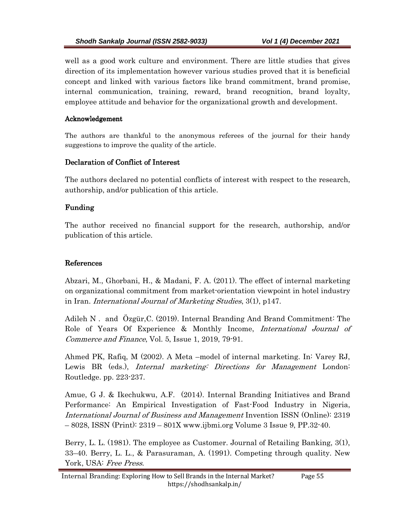well as a good work culture and environment. There are little studies that gives direction of its implementation however various studies proved that it is beneficial concept and linked with various factors like brand commitment, brand promise, internal communication, training, reward, brand recognition, brand loyalty, employee attitude and behavior for the organizational growth and development.

#### Acknowledgement

The authors are thankful to the anonymous referees of the journal for their handy suggestions to improve the quality of the article.

### Declaration of Conflict of Interest

The authors declared no potential conflicts of interest with respect to the research, authorship, and/or publication of this article.

### Funding Funding

The author received no financial support for the research, authorship, and/or publication of this article.

### References

Abzari, M., Ghorbani, H., & Madani, F. A. (2011). The effect of internal marketing on organizational commitment from market-orientation viewpoint in hotel industry in Iran. International Journal of Marketing Studies, 3(1), p147.

Adileh N . and Özgür,C. (2019). Internal Branding And Brand Commitment: The Role of Years Of Experience & Monthly Income, *International Journal of* Commerce and Finance, Vol. 5, Issue 1, 2019, 79-91.

Ahmed PK, Rafiq, M (2002). A Meta –model of internal marketing. In: Varey RJ, Lewis BR (eds.), *Internal marketing: Directions for Management* London: Routledge. pp. 223-237.

Amue, G J. & Ikechukwu, A.F. (2014). Internal Branding Initiatives and Brand Performance: An Empirical Investigation of Fast-Food Industry in Nigeria, International Journal of Business and Management Invention ISSN (Online): 2319 – 8028, ISSN (Print): 2319 – 801X www.ijbmi.org Volume 3 Issue 9, PP.32-40.

Berry, L. L. (1981). The employee as Customer. Journal of Retailing Banking, 3(1), 33–40. Berry, L. L., & Parasuraman, A. (1991). Competing through quality. New York, USA: Free Press.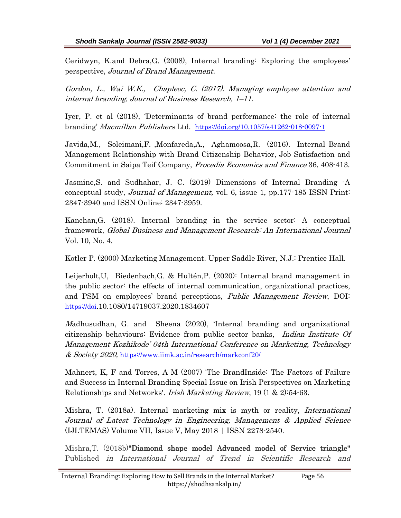Ceridwyn, K.and Debra,G. (2008), Internal branding: Exploring the employees' perspective, Journal of Brand Management.

Gordon, L., Wai W.K., Chapleoc, C. (2017). Managing employee attention and internal branding, Journal of Business Research, 1–11.

Iyer, P. et al (2018), 'Determinants of brand performance: the role of internal branding' Macmillan Publishers Ltd. https://doi.org/10.1057/s41262-018-0097-1

Javida,M., Soleimani,F. ,Monfareda,A., Aghamoosa,R. (2016). Internal Brand Management Relationship with Brand Citizenship Behavior, Job Satisfaction and Commitment in Saipa Teif Company, Procedia Economics and Finance 36, 408-413.

Jasmine,S. and Sudhahar, J. C. (2019) Dimensions of Internal Branding -A conceptual study, Journal of Management, vol. 6, issue 1, pp.177-185 ISSN Print: 2347-3940 and ISSN Online: 2347-3959.

Kanchan,G. (2018). Internal branding in the service sector: A conceptual framework, Global Business and Management Research: An International Journal Vol. 10, No. 4.

Kotler P. (2000) Marketing Management. Upper Saddle River, N.J.: Prentice Hall.

Leijerholt,U, Biedenbach,G. & Hultén,P. (2020): Internal brand management in the public sector: the effects of internal communication, organizational practices, and PSM on employees' brand perceptions, Public Management Review, DOI: https://doi.10.1080/14719037.2020.1834607

Madhusudhan, G. and Sheena (2020), 'Internal branding and organizational citizenship behaviours: Evidence from public sector banks, Indian Institute Of Management Kozhikode' 04th International Conference on Marketing, Technology & Society 2020, https://www.iimk.ac.in/research/markconf20/

Mahnert, K, F and Torres, A M (2007) 'The BrandInside: The Factors of Failure and Success in Internal Branding Special Issue on Irish Perspectives on Marketing Relationships and Networks'. Irish Marketing Review, 19 (1 & 2):54-63.

Mishra, T. (2018a). Internal marketing mix is myth or reality, International Journal of Latest Technology in Engineering, Management & Applied Science (IJLTEMAS) Volume VII, Issue V, May 2018 | ISSN 2278-2540.

Mishra,T. (2018b)"Diamond shape model Advanced model of Service triangle" Published in International Journal of Trend in Scientific Research and